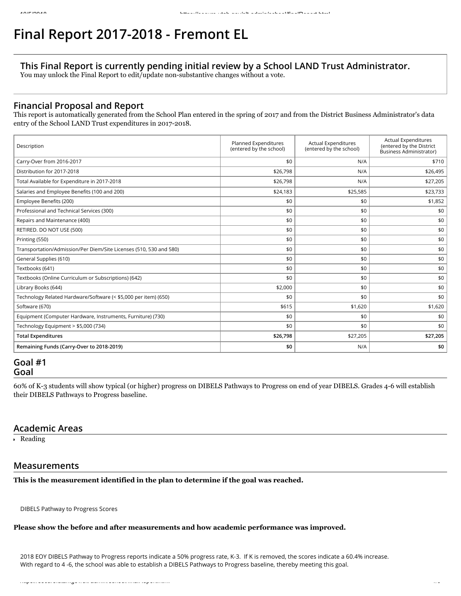# **Final Report 2017-2018 - Fremont EL**

## **This Final Report is currently pending initial review by a School LAND Trust Administrator.**

You may unlock the Final Report to edit/update non-substantive changes without a vote.

## **Financial Proposal and Report**

This report is automatically generated from the School Plan entered in the spring of 2017 and from the District Business Administrator's data entry of the School LAND Trust expenditures in 2017-2018.

| Description                                                        | Planned Expenditures<br>(entered by the school) | <b>Actual Expenditures</b><br>(entered by the school) | <b>Actual Expenditures</b><br>(entered by the District<br><b>Business Administrator)</b> |
|--------------------------------------------------------------------|-------------------------------------------------|-------------------------------------------------------|------------------------------------------------------------------------------------------|
| Carry-Over from 2016-2017                                          | \$0                                             | N/A                                                   | \$710                                                                                    |
| Distribution for 2017-2018                                         | \$26,798                                        | N/A                                                   | \$26,495                                                                                 |
| Total Available for Expenditure in 2017-2018                       | \$26,798                                        | N/A                                                   | \$27,205                                                                                 |
| Salaries and Employee Benefits (100 and 200)                       | \$24,183                                        | \$25,585                                              | \$23,733                                                                                 |
| Employee Benefits (200)                                            | \$0                                             | \$0                                                   | \$1,852                                                                                  |
| Professional and Technical Services (300)                          | \$0                                             | \$0                                                   | \$0                                                                                      |
| Repairs and Maintenance (400)                                      | \$0                                             | \$0                                                   | \$0                                                                                      |
| RETIRED. DO NOT USE (500)                                          | \$0                                             | \$0                                                   | \$0                                                                                      |
| Printing (550)                                                     | \$0                                             | \$0                                                   | \$0                                                                                      |
| Transportation/Admission/Per Diem/Site Licenses (510, 530 and 580) | \$0                                             | \$0                                                   | \$0                                                                                      |
| General Supplies (610)                                             | \$0                                             | \$0                                                   | \$0                                                                                      |
| Textbooks (641)                                                    | \$0                                             | \$0                                                   | \$0                                                                                      |
| Textbooks (Online Curriculum or Subscriptions) (642)               | \$0                                             | \$0                                                   | \$0                                                                                      |
| Library Books (644)                                                | \$2,000                                         | \$0                                                   | \$0                                                                                      |
| Technology Related Hardware/Software (< \$5,000 per item) (650)    | \$0                                             | \$0                                                   | \$0                                                                                      |
| Software (670)                                                     | \$615                                           | \$1,620                                               | \$1,620                                                                                  |
| Equipment (Computer Hardware, Instruments, Furniture) (730)        | \$0                                             | \$0                                                   | \$0                                                                                      |
| Technology Equipment > \$5,000 (734)                               | \$0                                             | \$0                                                   | \$0                                                                                      |
| <b>Total Expenditures</b>                                          | \$26,798                                        | \$27,205                                              | \$27,205                                                                                 |
| Remaining Funds (Carry-Over to 2018-2019)                          | \$0                                             | N/A                                                   | \$0                                                                                      |

## **Goal #1 Goal**

60% of K-3 students will show typical (or higher) progress on DIBELS Pathways to Progress on end of year DIBELS. Grades 4-6 will establish their DIBELS Pathways to Progress baseline.

#### **Academic Areas**

Reading

## **Measurements**

**This is the measurement identified in the plan to determine if the goal was reached.**

DIBELS Pathway to Progress Scores

#### **Please show the before and after measurements and how academic performance was improved.**

2018 EOY DIBELS Pathway to Progress reports indicate a 50% progress rate, K-3. If K is removed, the scores indicate a 60.4% increase. With regard to 4 -6, the school was able to establish a DIBELS Pathways to Progress baseline, thereby meeting this goal.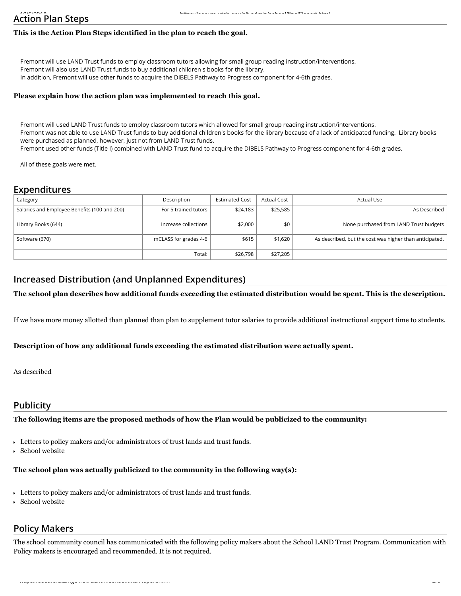## **Action Plan Steps**

## **This is the Action Plan Steps identified in the plan to reach the goal.**

Fremont will use LAND Trust funds to employ classroom tutors allowing for small group reading instruction/interventions. Fremont will also use LAND Trust funds to buy additional children s books for the library. In addition, Fremont will use other funds to acquire the DIBELS Pathway to Progress component for 4-6th grades.

#### **Please explain how the action plan was implemented to reach this goal.**

Fremont will used LAND Trust funds to employ classroom tutors which allowed for small group reading instruction/interventions. Fremont was not able to use LAND Trust funds to buy additional children's books for the library because of a lack of anticipated funding. Library books were purchased as planned, however, just not from LAND Trust funds. Fremont used other funds (Title I) combined with LAND Trust fund to acquire the DIBELS Pathway to Progress component for 4-6th grades.

All of these goals were met.

## **Expenditures**

| Category                                     | Description           | <b>Estimated Cost</b> | <b>Actual Cost</b> | Actual Use                                              |
|----------------------------------------------|-----------------------|-----------------------|--------------------|---------------------------------------------------------|
| Salaries and Employee Benefits (100 and 200) | For 5 trained tutors  | \$24,183              | \$25,585           | As Described                                            |
| Library Books (644)                          | Increase collections  | \$2,000               | \$0                | None purchased from LAND Trust budgets                  |
| Software (670)                               | mCLASS for grades 4-6 | \$615                 | \$1,620            | As described, but the cost was higher than anticipated. |
|                                              | Total:                | \$26,798              | \$27.205           |                                                         |

## **Increased Distribution (and Unplanned Expenditures)**

#### **The school plan describes how additional funds exceeding the estimated distribution would be spent. This is the description.**

If we have more money allotted than planned than plan to supplement tutor salaries to provide additional instructional support time to students.

#### **Description of how any additional funds exceeding the estimated distribution were actually spent.**

As described

## **Publicity**

#### **The following items are the proposed methods of how the Plan would be publicized to the community:**

Letters to policy makers and/or administrators of trust lands and trust funds.

School website

#### **The school plan was actually publicized to the community in the following way(s):**

- Letters to policy makers and/or administrators of trust lands and trust funds.
- School website

## **Policy Makers**

The school community council has communicated with the following policy makers about the School LAND Trust Program. Communication with Policy makers is encouraged and recommended. It is not required.